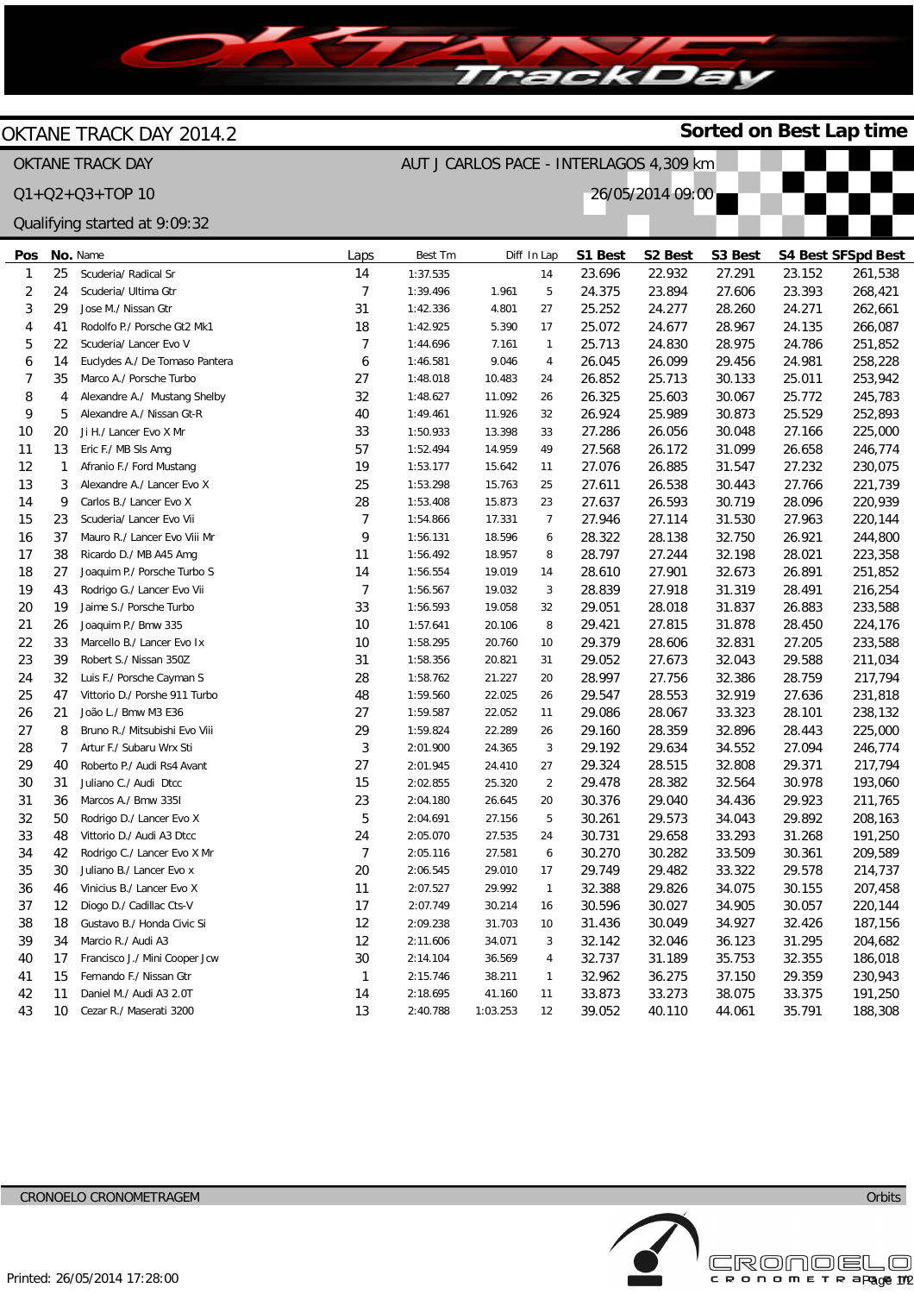

## OKTANE TRACK DAY 2014.2

## OKTANE TRACK DAY Q1+Q2+Q3+TOP 10





**Sorted on Best Lap time**

## **Pos** 1 2 3 4 5 6 7 8 9 10 11 12 13 14 15 16 17 18 19 20 21 22 23 24 25 26 27 28 29 30 31 32 33 34 35 36 37 38 39 40 41 42 43 **No.** Name 25 24 29 41 22 14 35 4 5 20 13 1 3  $\overline{Q}$ 23 37 38 27 43 19 26 33 39 32 47 21 8 7  $40$ 31 36 50 48 42 30 46 12 18 34 17 15 11 10 Scuderia/ Radical Sr Scuderia/ Ultima Gtr Jose M./ Nissan Gtr Rodolfo P./ Porsche Gt2 Mk1 Scuderia/ Lancer Evo V Euclydes A./ De Tomaso Pantera Marco A./ Porsche Turbo Alexandre A./ Mustang Shelby Alexandre A./ Nissan Gt-R Ji H./ Lancer Evo X Mr Eric F./ MB Sls Amg Afranio F./ Ford Mustang Alexandre A./ Lancer Evo X Carlos B./ Lancer Evo X Scuderia/ Lancer Evo Vii Mauro R./ Lancer Evo Viii Mr Ricardo D./ MB A45 Amg Joaquim P./ Porsche Turbo S Rodrigo G./ Lancer Evo Vii Jaime S./ Porsche Turbo Joaquim P./ Bmw 335 Marcello B./ Lancer Evo Ix Robert S./ Nissan 350Z Luis F./ Porsche Cayman S Vittorio D./ Porshe 911 Turbo João L./ Bmw M3 E36 Bruno R./ Mitsubishi Evo Viii Artur F./ Subaru Wrx Sti Roberto P./ Audi Rs4 Avant Juliano C./ Audi Dtcc Marcos A./ Bmw 335I Rodrigo D./ Lancer Evo X Vittorio D./ Audi A3 Dtcc Rodrigo C./ Lancer Evo X Mr Juliano B./ Lancer Evo x Vinicius B./ Lancer Evo X Diogo D./ Cadillac Cts-V Gustavo B./ Honda Civic Si Marcio R./ Audi A3 Francisco J./ Mini Cooper Jcw Fernando F./ Nissan Gtr Daniel M./ Audi A3 2.0T Cezar R./ Maserati 3200 Laps 14 7 31 18 7 6 27 32 40 33 57 19  $25$ 28 7  $\overline{Q}$ 11 14 7 33 10 10 31 28 48 27 29 3  $27$ 15 23 5 24 7 20 11 17 12 12 30 1 14 13 Best Tm 1:37.535 1:39.496 1:42.336 1:42.925 1:44.696 1:46.581 1:48.018 1:48.627 1:49.461 1:50.933 1:52.494 1:53.177 1:53.298 1:53.408 1:54.866 1:56.131 1:56.492 1:56.554 1:56.567 1:56.593 1:57.641 1:58.295 1:58.356 1:58.762 1:59.560 1:59.587 1:59.824 2:01.900 2:01.945 2:02.855 2:04.180 2:04.691 2:05.070 2:05.116 2:06.545 2:07.527 2:07.749 2:09.238 2:11.606 2:14.104 2:15.746 2:18.695 2:40.788 Diff In Lap 1.961 4.801 5.390 7.161 9.046 10.483 11.092 11.926 13.398 14.959 15.642 15.763 15.873 17.331 18.596 18.957 19.019 19.032 19.058 20.106 20.760 20.821 21.227 22.025 22.052 22.289 24.365 24.410 25.320 26.645 27.156 27.535 27.581 29.010 29.992 30.214 31.703 34.071 36.569 38.211 41.160 1:03.253 14 5 27 17 1 4 24 26 32 33 49 11  $25$  $23$ 7 6 8 14 3 32 8 10 31 20 26 11  $26$ 3 27 2 20 5 24 6 17 1 16 10 3 4 1 11 12 **S1 Best** 23.696 24.375 25.252 25.072 25.713 26.045 26.852 26.325 26.924 27.286 27.568 27.076 27.611 27.637 27.946 28.322 28.797 28.610 28.839 29.051 29.421 29.379 29.052 28.997 29.547 29.086 29.160 29.192 29.324 29.478 30.376 30.261 30.731 30.270 29.749 32.388 30.596 31.436 32.142 32.737 32.962 33.873 39.052 **S2 Best** 22.932 23.894 24.277 24.677 24.830 26.099 25.713 25.603 25.989 26.056 26.172 26.885 26.538 26.593 27.114 28.138 27.244 27.901 27.918 28.018 27.815 28.606 27.673 27.756 28.553 28.067 28.359 29.634 28.515 28.382 29.040 29.573 29.658 30.282 29.482 29.826 30.027 30.049 32.046 31.189 36.275 33.273 40.110 **S3 Best** 27.291 27.606 28.260 28.967 28.975 29.456 30.133 30.067 30.873 30.048 31.099 31.547 30.443 30.719 31.530 32.750 32.198 32.673 31.319 31.837 31.878 32.831 32.043 32.386 32.919 33.323 32.896 34.552 32.808 32.564 34.436 34.043 33.293 33.509 33.322 34.075 34.905 34.927 36.123 35.753 37.150 38.075 44.061 **S4 Best SFSpd Best** 23.152 23.393 24.271 24.135 24.786 24.981 25.011 25.772 25.529 27.166 26.658 27.232 27.766 28.096 27.963 26.921 28.021 26.891 28.491 26.883 28.450 27.205 29.588 28.759 27.636 28.101 28.443 27.094 29.371 30.978 29.923 29.892 31.268 30.361 29.578 30.155 30.057 32.426 31.295 32.355 29.359 33.375 35.791 261,538 268,421 262,661 266,087 251,852 258,228 253,942 245,783 252,893 225,000 246,774 230,075 221,739 220,939 220,144 244,800 223,358 251,852 216,254 233,588 224,176 233,588 211,034 217,794 231,818 238,132 225,000 246,774 217,794 193,060 211,765 208,163 191,250 209,589 214,737 207,458 220,144 187,156 204,682 186,018 230,943 191,250 188,308 Qualifying started at 9:09:32

Licensed to: Cronoelo

c R o n o m E T R apade 172